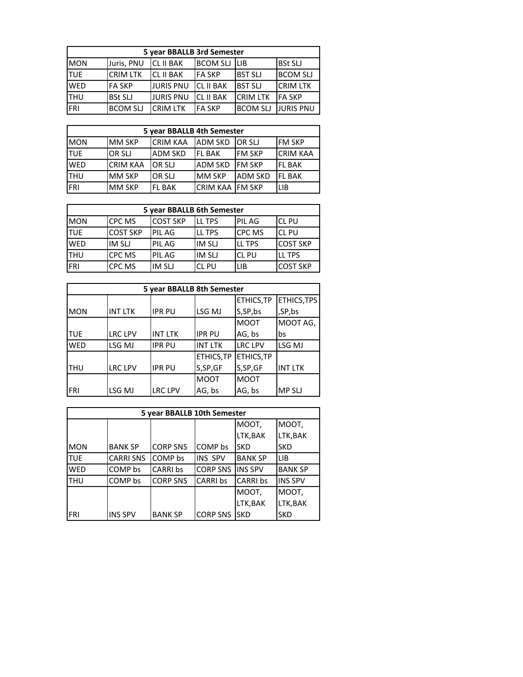| 5 year BBALLB 3rd Semester |                 |                  |                  |                 |                  |  |
|----------------------------|-----------------|------------------|------------------|-----------------|------------------|--|
| <b>MON</b>                 | Juris, PNU      | <b>CL II BAK</b> | <b>BCOM SLJ</b>  | li ib           | <b>BSt SLJ</b>   |  |
| <b>TUE</b>                 | <b>CRIM LTK</b> | <b>CL II BAK</b> | <b>IFA SKP</b>   | <b>BST SLI</b>  | <b>BCOM SLJ</b>  |  |
| <b>WED</b>                 | <b>FA SKP</b>   | <b>JURIS PNU</b> | <b>CL II BAK</b> | <b>BST SLI</b>  | <b>CRIM LTK</b>  |  |
| <b>THU</b>                 | <b>BSt SLJ</b>  | <b>JURIS PNU</b> | <b>CL II BAK</b> | <b>CRIM LTK</b> | <b>FA SKP</b>    |  |
| <b>FRI</b>                 | <b>BCOM SLJ</b> | <b>CRIM LTK</b>  | <b>FA SKP</b>    | <b>BCOM SLJ</b> | <b>JURIS PNU</b> |  |

| 5 year BBALLB 4th Semester |                 |                 |                         |                |                 |  |
|----------------------------|-----------------|-----------------|-------------------------|----------------|-----------------|--|
| <b>MON</b>                 | <b>MM SKP</b>   | <b>CRIM KAA</b> | <b>ADM SKD</b>          | <b>IOR SLI</b> | <b>IFM SKP</b>  |  |
| <b>TUE</b>                 | OR SLJ          | <b>ADM SKD</b>  | <b>IFL BAK</b>          | <b>IFM SKP</b> | <b>CRIM KAA</b> |  |
| <b>WED</b>                 | <b>CRIM KAA</b> | OR SLJ          | <b>ADM SKD</b>          | <b>IFM SKP</b> | <b>IFL BAK</b>  |  |
| ITHU                       | <b>MM SKP</b>   | OR SLJ          | <b>MM SKP</b>           | <b>ADM SKD</b> | <b>IFL BAK</b>  |  |
| FRI                        | MM SKP          | <b>FL BAK</b>   | <b>CRIM KAA IFM SKP</b> |                | LIB             |  |

| 5 year BBALLB 6th Semester |                 |                 |               |               |                 |
|----------------------------|-----------------|-----------------|---------------|---------------|-----------------|
| <b>MON</b>                 | <b>CPC MS</b>   | <b>COST SKP</b> | <b>LL TPS</b> | <b>PILAG</b>  | <b>CL PU</b>    |
| <b>TUE</b>                 | <b>COST SKP</b> | <b>PIL AG</b>   | LL TPS        | <b>CPC MS</b> | <b>ICL PU</b>   |
| <b>WED</b>                 | <b>IM SLJ</b>   | <b>PIL AG</b>   | <b>IM SLJ</b> | LL TPS        | <b>COST SKP</b> |
| lthu                       | <b>CPC MS</b>   | <b>PIL AG</b>   | IM SLJ        | <b>CL PU</b>  | LL TPS          |
| <b>FRI</b>                 | CPC MS          | IM SLJ          | <b>CL PU</b>  | LIB           | ICOST SKP       |

| 5 year BBALLB 8th Semester |                |                |                |                |                |  |
|----------------------------|----------------|----------------|----------------|----------------|----------------|--|
|                            |                |                |                | ETHICS, TP     | ETHICS, TPS    |  |
| <b>MON</b>                 | <b>INT LTK</b> | <b>IPR PU</b>  | LSG MJ         | S,SP,bs        | ,SP,bs         |  |
|                            |                |                |                | <b>MOOT</b>    | MOOT AG,       |  |
| ltue                       | LRC LPV        | <b>INT LTK</b> | <b>IPR PU</b>  | AG, bs         | bs             |  |
| <b>WED</b>                 | LSG MJ         | <b>IPR PU</b>  | <b>INT LTK</b> | <b>LRC LPV</b> | LSG MJ         |  |
|                            |                |                | ETHICS, TP     | ETHICS, TP     |                |  |
| lthu                       | LRC LPV        | <b>IPR PU</b>  | S,SP,GF        | S,SP,GF        | <b>INT LTK</b> |  |
|                            |                |                | <b>MOOT</b>    | <b>MOOT</b>    |                |  |
| <b>FRI</b>                 | LSG MJ         | <b>LRC LPV</b> | AG, bs         | AG, bs         | <b>MPSLJ</b>   |  |

| 5 year BBALLB 10th Semester |                 |                 |                 |                |                |  |
|-----------------------------|-----------------|-----------------|-----------------|----------------|----------------|--|
|                             |                 |                 |                 | MOOT,          | MOOT,          |  |
|                             |                 |                 |                 | LTK, BAK       | LTK, BAK       |  |
| <b>MON</b>                  | <b>BANK SP</b>  | <b>CORP SNS</b> | COMP bs         | <b>SKD</b>     | <b>SKD</b>     |  |
| <b>TUE</b>                  | <b>CARRISNS</b> | COMP bs         | <b>INS SPV</b>  | <b>BANK SP</b> | LIB            |  |
| <b>WED</b>                  | COMP bs         | CARRI bs        | <b>CORP SNS</b> | <b>INS SPV</b> | <b>BANK SP</b> |  |
| <b>THU</b>                  | COMP bs         | <b>CORP SNS</b> | <b>CARRI bs</b> | CARRI bs       | <b>INS SPV</b> |  |
|                             |                 |                 |                 | MOOT,          | MOOT,          |  |
|                             |                 |                 |                 | LTK, BAK       | LTK, BAK       |  |
| IFRI                        | <b>INS SPV</b>  | <b>BANK SP</b>  | <b>CORP SNS</b> | <b>SKD</b>     | <b>SKD</b>     |  |